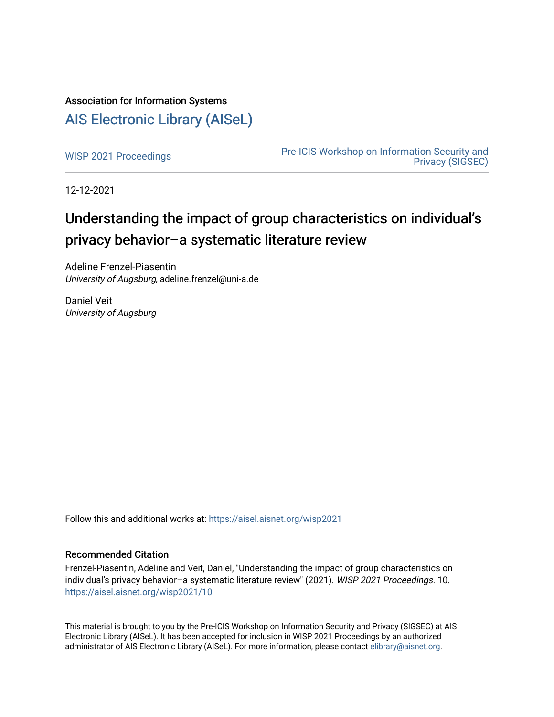# Association for Information Systems

# [AIS Electronic Library \(AISeL\)](https://aisel.aisnet.org/)

[WISP 2021 Proceedings](https://aisel.aisnet.org/wisp2021) **Pre-ICIS Workshop on Information Security and** [Privacy \(SIGSEC\)](https://aisel.aisnet.org/sigsec) 

12-12-2021

# Understanding the impact of group characteristics on individual's privacy behavior–a systematic literature review

Adeline Frenzel-Piasentin University of Augsburg, adeline.frenzel@uni-a.de

Daniel Veit University of Augsburg

Follow this and additional works at: [https://aisel.aisnet.org/wisp2021](https://aisel.aisnet.org/wisp2021?utm_source=aisel.aisnet.org%2Fwisp2021%2F10&utm_medium=PDF&utm_campaign=PDFCoverPages)

#### Recommended Citation

Frenzel-Piasentin, Adeline and Veit, Daniel, "Understanding the impact of group characteristics on individual's privacy behavior–a systematic literature review" (2021). WISP 2021 Proceedings. 10. [https://aisel.aisnet.org/wisp2021/10](https://aisel.aisnet.org/wisp2021/10?utm_source=aisel.aisnet.org%2Fwisp2021%2F10&utm_medium=PDF&utm_campaign=PDFCoverPages) 

This material is brought to you by the Pre-ICIS Workshop on Information Security and Privacy (SIGSEC) at AIS Electronic Library (AISeL). It has been accepted for inclusion in WISP 2021 Proceedings by an authorized administrator of AIS Electronic Library (AISeL). For more information, please contact [elibrary@aisnet.org.](mailto:elibrary@aisnet.org%3E)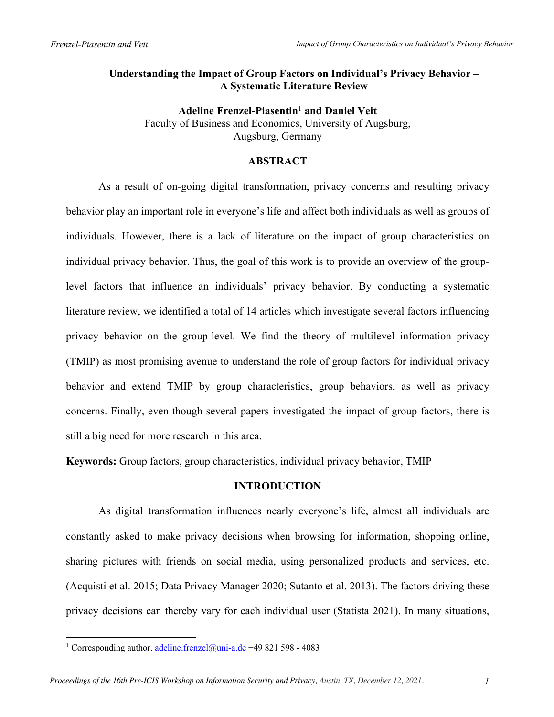# **Understanding the Impact of Group Factors on Individual's Privacy Behavior – A Systematic Literature Review**

**Adeline Frenzel-Piasentin**<sup>1</sup> **and Daniel Veit**  Faculty of Business and Economics, University of Augsburg, Augsburg, Germany

### **ABSTRACT**

As a result of on-going digital transformation, privacy concerns and resulting privacy behavior play an important role in everyone's life and affect both individuals as well as groups of individuals. However, there is a lack of literature on the impact of group characteristics on individual privacy behavior. Thus, the goal of this work is to provide an overview of the grouplevel factors that influence an individuals' privacy behavior. By conducting a systematic literature review, we identified a total of 14 articles which investigate several factors influencing privacy behavior on the group-level. We find the theory of multilevel information privacy (TMIP) as most promising avenue to understand the role of group factors for individual privacy behavior and extend TMIP by group characteristics, group behaviors, as well as privacy concerns. Finally, even though several papers investigated the impact of group factors, there is still a big need for more research in this area.

**Keywords:** Group factors, group characteristics, individual privacy behavior, TMIP

## **INTRODUCTION**

As digital transformation influences nearly everyone's life, almost all individuals are constantly asked to make privacy decisions when browsing for information, shopping online, sharing pictures with friends on social media, using personalized products and services, etc. (Acquisti et al. 2015; Data Privacy Manager 2020; Sutanto et al. 2013). The factors driving these privacy decisions can thereby vary for each individual user (Statista 2021). In many situations,

<sup>&</sup>lt;sup>1</sup> Corresponding author. adeline.frenzel@uni-a.de +49 821 598 - 4083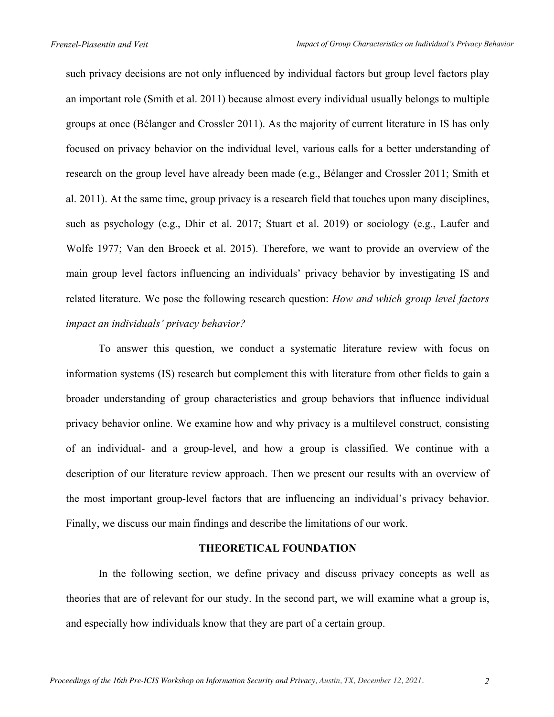such privacy decisions are not only influenced by individual factors but group level factors play an important role (Smith et al. 2011) because almost every individual usually belongs to multiple groups at once (Bélanger and Crossler 2011). As the majority of current literature in IS has only focused on privacy behavior on the individual level, various calls for a better understanding of research on the group level have already been made (e.g., Bélanger and Crossler 2011; Smith et al. 2011). At the same time, group privacy is a research field that touches upon many disciplines, such as psychology (e.g., Dhir et al. 2017; Stuart et al. 2019) or sociology (e.g., Laufer and Wolfe 1977; Van den Broeck et al. 2015). Therefore, we want to provide an overview of the main group level factors influencing an individuals' privacy behavior by investigating IS and related literature. We pose the following research question: *How and which group level factors impact an individuals' privacy behavior?*

To answer this question, we conduct a systematic literature review with focus on information systems (IS) research but complement this with literature from other fields to gain a broader understanding of group characteristics and group behaviors that influence individual privacy behavior online. We examine how and why privacy is a multilevel construct, consisting of an individual- and a group-level, and how a group is classified. We continue with a description of our literature review approach. Then we present our results with an overview of the most important group-level factors that are influencing an individual's privacy behavior. Finally, we discuss our main findings and describe the limitations of our work.

#### **THEORETICAL FOUNDATION**

In the following section, we define privacy and discuss privacy concepts as well as theories that are of relevant for our study. In the second part, we will examine what a group is, and especially how individuals know that they are part of a certain group.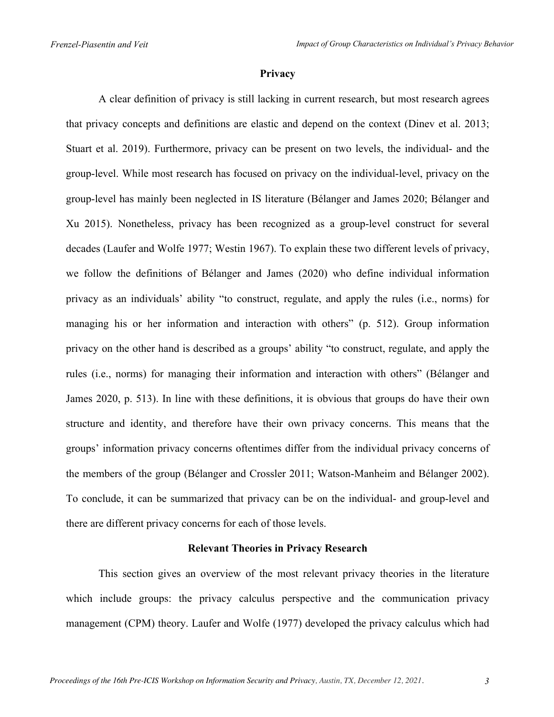#### **Privacy**

A clear definition of privacy is still lacking in current research, but most research agrees that privacy concepts and definitions are elastic and depend on the context (Dinev et al. 2013; Stuart et al. 2019). Furthermore, privacy can be present on two levels, the individual- and the group-level. While most research has focused on privacy on the individual-level, privacy on the group-level has mainly been neglected in IS literature (Bélanger and James 2020; Bélanger and Xu 2015). Nonetheless, privacy has been recognized as a group-level construct for several decades (Laufer and Wolfe 1977; Westin 1967). To explain these two different levels of privacy, we follow the definitions of Bélanger and James (2020) who define individual information privacy as an individuals' ability "to construct, regulate, and apply the rules (i.e., norms) for managing his or her information and interaction with others" (p. 512). Group information privacy on the other hand is described as a groups' ability "to construct, regulate, and apply the rules (i.e., norms) for managing their information and interaction with others" (Bélanger and James 2020, p. 513). In line with these definitions, it is obvious that groups do have their own structure and identity, and therefore have their own privacy concerns. This means that the groups' information privacy concerns oftentimes differ from the individual privacy concerns of the members of the group (Bélanger and Crossler 2011; Watson-Manheim and Bélanger 2002). To conclude, it can be summarized that privacy can be on the individual- and group-level and there are different privacy concerns for each of those levels.

#### **Relevant Theories in Privacy Research**

This section gives an overview of the most relevant privacy theories in the literature which include groups: the privacy calculus perspective and the communication privacy management (CPM) theory. Laufer and Wolfe (1977) developed the privacy calculus which had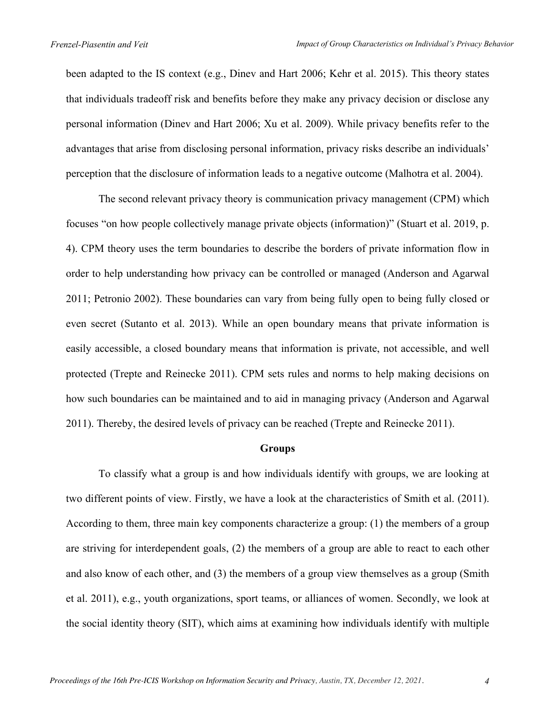been adapted to the IS context (e.g., Dinev and Hart 2006; Kehr et al. 2015). This theory states that individuals tradeoff risk and benefits before they make any privacy decision or disclose any personal information (Dinev and Hart 2006; Xu et al. 2009). While privacy benefits refer to the advantages that arise from disclosing personal information, privacy risks describe an individuals' perception that the disclosure of information leads to a negative outcome (Malhotra et al. 2004).

The second relevant privacy theory is communication privacy management (CPM) which focuses "on how people collectively manage private objects (information)" (Stuart et al. 2019, p. 4). CPM theory uses the term boundaries to describe the borders of private information flow in order to help understanding how privacy can be controlled or managed (Anderson and Agarwal 2011; Petronio 2002). These boundaries can vary from being fully open to being fully closed or even secret (Sutanto et al. 2013). While an open boundary means that private information is easily accessible, a closed boundary means that information is private, not accessible, and well protected (Trepte and Reinecke 2011). CPM sets rules and norms to help making decisions on how such boundaries can be maintained and to aid in managing privacy (Anderson and Agarwal 2011). Thereby, the desired levels of privacy can be reached (Trepte and Reinecke 2011).

#### **Groups**

To classify what a group is and how individuals identify with groups, we are looking at two different points of view. Firstly, we have a look at the characteristics of Smith et al. (2011). According to them, three main key components characterize a group: (1) the members of a group are striving for interdependent goals, (2) the members of a group are able to react to each other and also know of each other, and (3) the members of a group view themselves as a group (Smith et al. 2011), e.g., youth organizations, sport teams, or alliances of women. Secondly, we look at the social identity theory (SIT), which aims at examining how individuals identify with multiple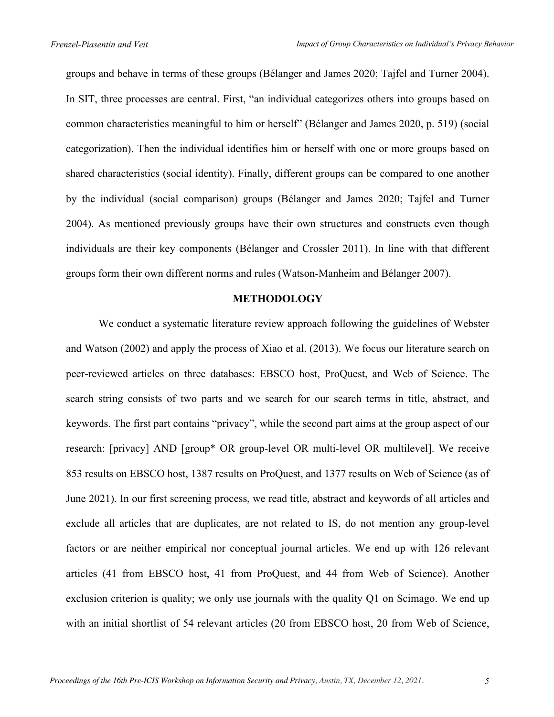groups and behave in terms of these groups (Bélanger and James 2020; Tajfel and Turner 2004). In SIT, three processes are central. First, "an individual categorizes others into groups based on common characteristics meaningful to him or herself" (Bélanger and James 2020, p. 519) (social categorization). Then the individual identifies him or herself with one or more groups based on shared characteristics (social identity). Finally, different groups can be compared to one another by the individual (social comparison) groups (Bélanger and James 2020; Tajfel and Turner 2004). As mentioned previously groups have their own structures and constructs even though individuals are their key components (Bélanger and Crossler 2011). In line with that different groups form their own different norms and rules (Watson-Manheim and Bélanger 2007).

#### **METHODOLOGY**

We conduct a systematic literature review approach following the guidelines of Webster and Watson (2002) and apply the process of Xiao et al. (2013). We focus our literature search on peer-reviewed articles on three databases: EBSCO host, ProQuest, and Web of Science. The search string consists of two parts and we search for our search terms in title, abstract, and keywords. The first part contains "privacy", while the second part aims at the group aspect of our research: [privacy] AND [group\* OR group-level OR multi-level OR multilevel]. We receive 853 results on EBSCO host, 1387 results on ProQuest, and 1377 results on Web of Science (as of June 2021). In our first screening process, we read title, abstract and keywords of all articles and exclude all articles that are duplicates, are not related to IS, do not mention any group-level factors or are neither empirical nor conceptual journal articles. We end up with 126 relevant articles (41 from EBSCO host, 41 from ProQuest, and 44 from Web of Science). Another exclusion criterion is quality; we only use journals with the quality Q1 on Scimago. We end up with an initial shortlist of 54 relevant articles (20 from EBSCO host, 20 from Web of Science,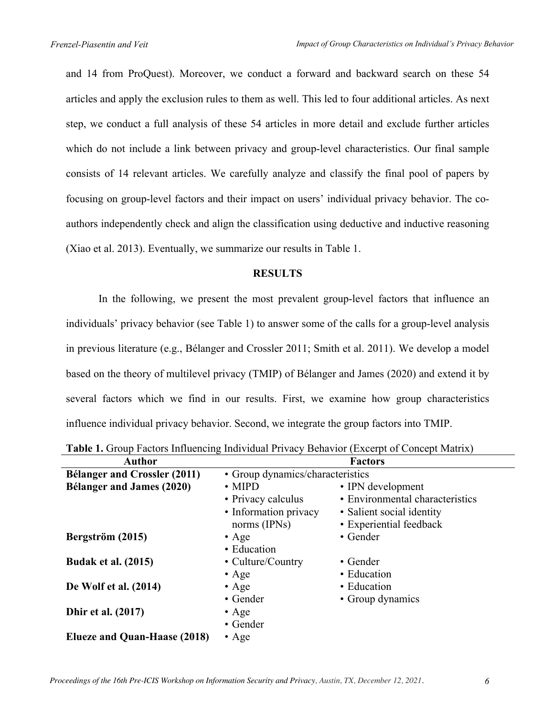and 14 from ProQuest). Moreover, we conduct a forward and backward search on these 54 articles and apply the exclusion rules to them as well. This led to four additional articles. As next step, we conduct a full analysis of these 54 articles in more detail and exclude further articles which do not include a link between privacy and group-level characteristics. Our final sample consists of 14 relevant articles. We carefully analyze and classify the final pool of papers by focusing on group-level factors and their impact on users' individual privacy behavior. The coauthors independently check and align the classification using deductive and inductive reasoning (Xiao et al. 2013). Eventually, we summarize our results in Table 1.

#### **RESULTS**

In the following, we present the most prevalent group-level factors that influence an individuals' privacy behavior (see Table 1) to answer some of the calls for a group-level analysis in previous literature (e.g., Bélanger and Crossler 2011; Smith et al. 2011). We develop a model based on the theory of multilevel privacy (TMIP) of Bélanger and James (2020) and extend it by several factors which we find in our results. First, we examine how group characteristics influence individual privacy behavior. Second, we integrate the group factors into TMIP.

| <b>Author</b>                       |                                  | <b>Factors</b>                  |
|-------------------------------------|----------------------------------|---------------------------------|
| <b>Bélanger and Crossler (2011)</b> | • Group dynamics/characteristics |                                 |
| <b>Bélanger and James (2020)</b>    | $\cdot$ MIPD                     | • IPN development               |
|                                     | • Privacy calculus               | • Environmental characteristics |
|                                     | • Information privacy            | • Salient social identity       |
|                                     | norms (IPNs)                     | • Experiential feedback         |
| Bergström (2015)                    | $\bullet$ Age                    | • Gender                        |
|                                     | • Education                      |                                 |
| <b>Budak et al. (2015)</b>          | • Culture/Country                | $\bullet$ Gender                |
|                                     | $\bullet$ Age                    | • Education                     |
| De Wolf et al. (2014)               | $\bullet$ Age                    | • Education                     |
|                                     | • Gender                         | • Group dynamics                |
| <b>Dhir et al.</b> (2017)           | $\bullet$ Age                    |                                 |
|                                     | • Gender                         |                                 |
| Elueze and Quan-Haase (2018)        | $\bullet$ Age                    |                                 |

**Table 1.** Group Factors Influencing Individual Privacy Behavior (Excerpt of Concept Matrix)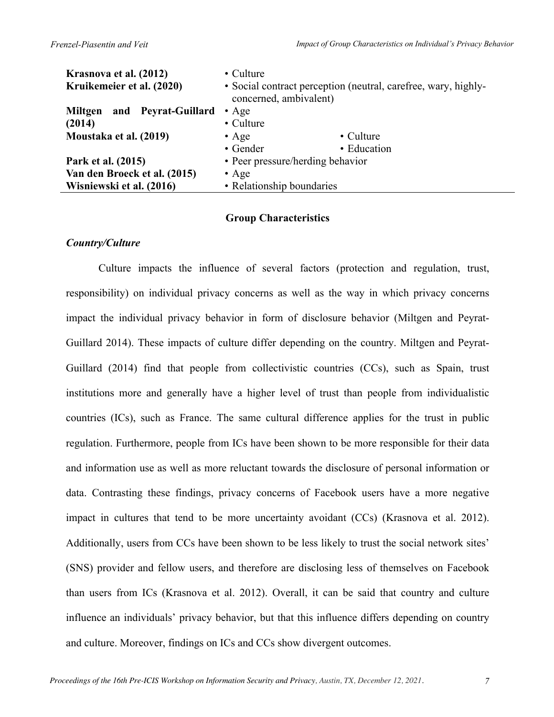| Krasnova et al. (2012)         | • Culture                                                                                |             |  |
|--------------------------------|------------------------------------------------------------------------------------------|-------------|--|
| Kruikemeier et al. (2020)      | • Social contract perception (neutral, carefree, wary, highly-<br>concerned, ambivalent) |             |  |
| and Peyrat-Guillard<br>Miltgen | $\bullet$ Age                                                                            |             |  |
| (2014)                         | • Culture                                                                                |             |  |
| Moustaka et al. (2019)         | $\bullet$ Age                                                                            | • Culture   |  |
|                                | • Gender                                                                                 | • Education |  |
| Park et al. (2015)             | • Peer pressure/herding behavior                                                         |             |  |
| Van den Broeck et al. (2015)   | $\bullet$ Age                                                                            |             |  |
| Wisniewski et al. (2016)       | • Relationship boundaries                                                                |             |  |

#### **Group Characteristics**

#### *Country/Culture*

Culture impacts the influence of several factors (protection and regulation, trust, responsibility) on individual privacy concerns as well as the way in which privacy concerns impact the individual privacy behavior in form of disclosure behavior (Miltgen and Peyrat-Guillard 2014). These impacts of culture differ depending on the country. Miltgen and Peyrat-Guillard (2014) find that people from collectivistic countries (CCs), such as Spain, trust institutions more and generally have a higher level of trust than people from individualistic countries (ICs), such as France. The same cultural difference applies for the trust in public regulation. Furthermore, people from ICs have been shown to be more responsible for their data and information use as well as more reluctant towards the disclosure of personal information or data. Contrasting these findings, privacy concerns of Facebook users have a more negative impact in cultures that tend to be more uncertainty avoidant (CCs) (Krasnova et al. 2012). Additionally, users from CCs have been shown to be less likely to trust the social network sites' (SNS) provider and fellow users, and therefore are disclosing less of themselves on Facebook than users from ICs (Krasnova et al. 2012). Overall, it can be said that country and culture influence an individuals' privacy behavior, but that this influence differs depending on country and culture. Moreover, findings on ICs and CCs show divergent outcomes.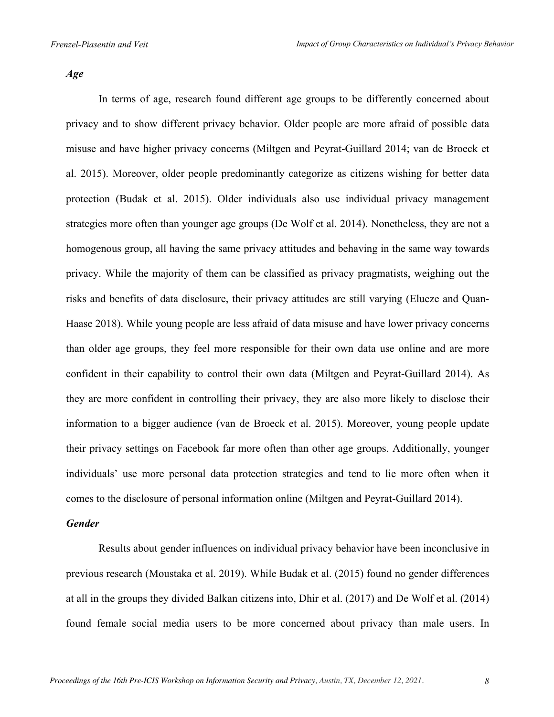*Age*

In terms of age, research found different age groups to be differently concerned about privacy and to show different privacy behavior. Older people are more afraid of possible data misuse and have higher privacy concerns (Miltgen and Peyrat-Guillard 2014; van de Broeck et al. 2015). Moreover, older people predominantly categorize as citizens wishing for better data protection (Budak et al. 2015). Older individuals also use individual privacy management strategies more often than younger age groups (De Wolf et al. 2014). Nonetheless, they are not a homogenous group, all having the same privacy attitudes and behaving in the same way towards privacy. While the majority of them can be classified as privacy pragmatists, weighing out the risks and benefits of data disclosure, their privacy attitudes are still varying (Elueze and Quan-Haase 2018). While young people are less afraid of data misuse and have lower privacy concerns than older age groups, they feel more responsible for their own data use online and are more confident in their capability to control their own data (Miltgen and Peyrat-Guillard 2014). As they are more confident in controlling their privacy, they are also more likely to disclose their information to a bigger audience (van de Broeck et al. 2015). Moreover, young people update their privacy settings on Facebook far more often than other age groups. Additionally, younger individuals' use more personal data protection strategies and tend to lie more often when it comes to the disclosure of personal information online (Miltgen and Peyrat-Guillard 2014).

#### *Gender*

Results about gender influences on individual privacy behavior have been inconclusive in previous research (Moustaka et al. 2019). While Budak et al. (2015) found no gender differences at all in the groups they divided Balkan citizens into, Dhir et al. (2017) and De Wolf et al. (2014) found female social media users to be more concerned about privacy than male users. In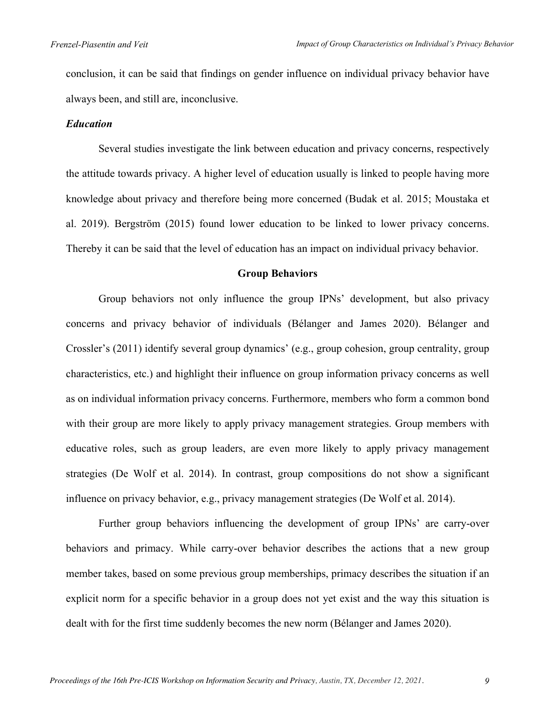conclusion, it can be said that findings on gender influence on individual privacy behavior have always been, and still are, inconclusive.

#### *Education*

Several studies investigate the link between education and privacy concerns, respectively the attitude towards privacy. A higher level of education usually is linked to people having more knowledge about privacy and therefore being more concerned (Budak et al. 2015; Moustaka et al. 2019). Bergström (2015) found lower education to be linked to lower privacy concerns. Thereby it can be said that the level of education has an impact on individual privacy behavior.

#### **Group Behaviors**

Group behaviors not only influence the group IPNs' development, but also privacy concerns and privacy behavior of individuals (Bélanger and James 2020). Bélanger and Crossler's (2011) identify several group dynamics' (e.g., group cohesion, group centrality, group characteristics, etc.) and highlight their influence on group information privacy concerns as well as on individual information privacy concerns. Furthermore, members who form a common bond with their group are more likely to apply privacy management strategies. Group members with educative roles, such as group leaders, are even more likely to apply privacy management strategies (De Wolf et al. 2014). In contrast, group compositions do not show a significant influence on privacy behavior, e.g., privacy management strategies (De Wolf et al. 2014).

Further group behaviors influencing the development of group IPNs' are carry-over behaviors and primacy. While carry-over behavior describes the actions that a new group member takes, based on some previous group memberships, primacy describes the situation if an explicit norm for a specific behavior in a group does not yet exist and the way this situation is dealt with for the first time suddenly becomes the new norm (Bélanger and James 2020).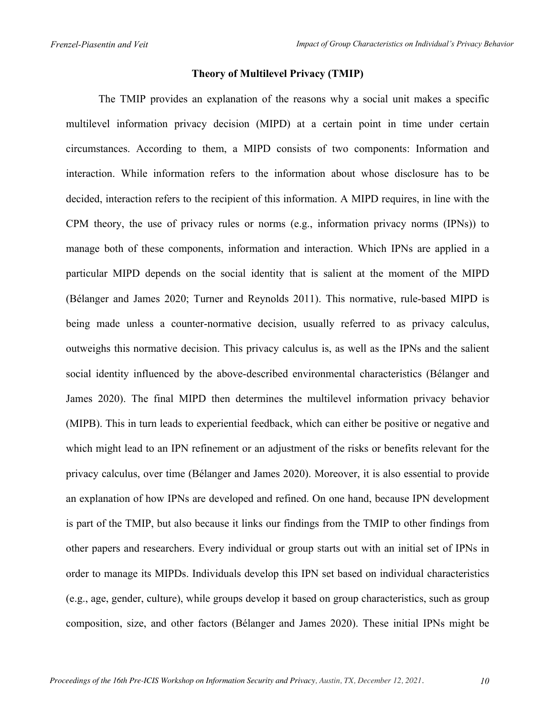# **Theory of Multilevel Privacy (TMIP)**

The TMIP provides an explanation of the reasons why a social unit makes a specific multilevel information privacy decision (MIPD) at a certain point in time under certain circumstances. According to them, a MIPD consists of two components: Information and interaction. While information refers to the information about whose disclosure has to be decided, interaction refers to the recipient of this information. A MIPD requires, in line with the CPM theory, the use of privacy rules or norms (e.g., information privacy norms (IPNs)) to manage both of these components, information and interaction. Which IPNs are applied in a particular MIPD depends on the social identity that is salient at the moment of the MIPD (Bélanger and James 2020; Turner and Reynolds 2011). This normative, rule-based MIPD is being made unless a counter-normative decision, usually referred to as privacy calculus, outweighs this normative decision. This privacy calculus is, as well as the IPNs and the salient social identity influenced by the above-described environmental characteristics (Bélanger and James 2020). The final MIPD then determines the multilevel information privacy behavior (MIPB). This in turn leads to experiential feedback, which can either be positive or negative and which might lead to an IPN refinement or an adjustment of the risks or benefits relevant for the privacy calculus, over time (Bélanger and James 2020). Moreover, it is also essential to provide an explanation of how IPNs are developed and refined. On one hand, because IPN development is part of the TMIP, but also because it links our findings from the TMIP to other findings from other papers and researchers. Every individual or group starts out with an initial set of IPNs in order to manage its MIPDs. Individuals develop this IPN set based on individual characteristics (e.g., age, gender, culture), while groups develop it based on group characteristics, such as group composition, size, and other factors (Bélanger and James 2020). These initial IPNs might be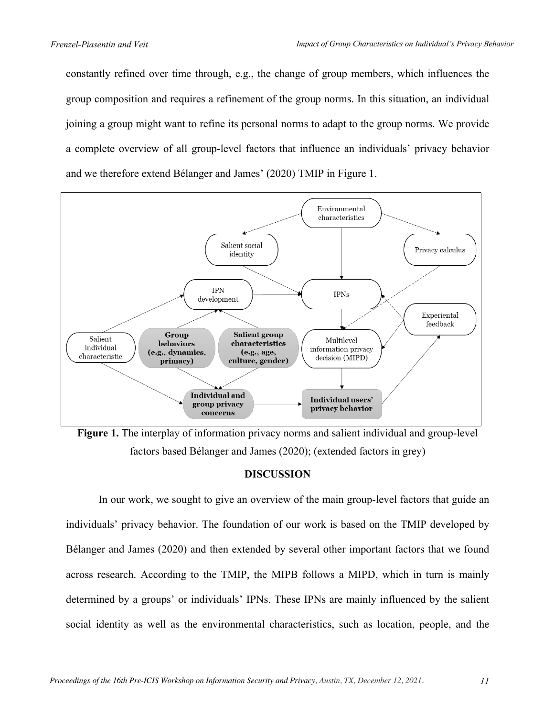constantly refined over time through, e.g., the change of group members, which influences the group composition and requires a refinement of the group norms. In this situation, an individual joining a group might want to refine its personal norms to adapt to the group norms. We provide a complete overview of all group-level factors that influence an individuals' privacy behavior and we therefore extend Bélanger and James' (2020) TMIP in Figure 1.



**Figure 1.** The interplay of information privacy norms and salient individual and group-level factors based Bélanger and James (2020); (extended factors in grey)

## **DISCUSSION**

In our work, we sought to give an overview of the main group-level factors that guide an individuals' privacy behavior. The foundation of our work is based on the TMIP developed by Bélanger and James (2020) and then extended by several other important factors that we found across research. According to the TMIP, the MIPB follows a MIPD, which in turn is mainly determined by a groups' or individuals' IPNs. These IPNs are mainly influenced by the salient social identity as well as the environmental characteristics, such as location, people, and the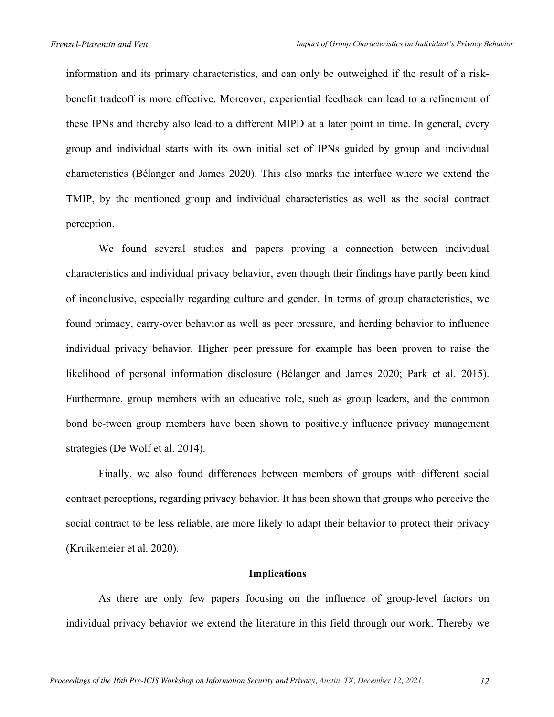information and its primary characteristics, and can only be outweighed if the result of a riskbenefit tradeoff is more effective. Moreover, experiential feedback can lead to a refinement of these IPNs and thereby also lead to a different MIPD at a later point in time. In general, every group and individual starts with its own initial set of IPNs guided by group and individual characteristics (Bélanger and James 2020). This also marks the interface where we extend the TMIP, by the mentioned group and individual characteristics as well as the social contract perception.

We found several studies and papers proving a connection between individual characteristics and individual privacy behavior, even though their findings have partly been kind of inconclusive, especially regarding culture and gender. In terms of group characteristics, we found primacy, carry-over behavior as well as peer pressure, and herding behavior to influence individual privacy behavior. Higher peer pressure for example has been proven to raise the likelihood of personal information disclosure (Bélanger and James 2020; Park et al. 2015). Furthermore, group members with an educative role, such as group leaders, and the common bond be-tween group members have been shown to positively influence privacy management strategies (De Wolf et al. 2014).

Finally, we also found differences between members of groups with different social contract perceptions, regarding privacy behavior. It has been shown that groups who perceive the social contract to be less reliable, are more likely to adapt their behavior to protect their privacy (Kruikemeier et al. 2020).

#### **Implications**

As there are only few papers focusing on the influence of group-level factors on individual privacy behavior we extend the literature in this field through our work. Thereby we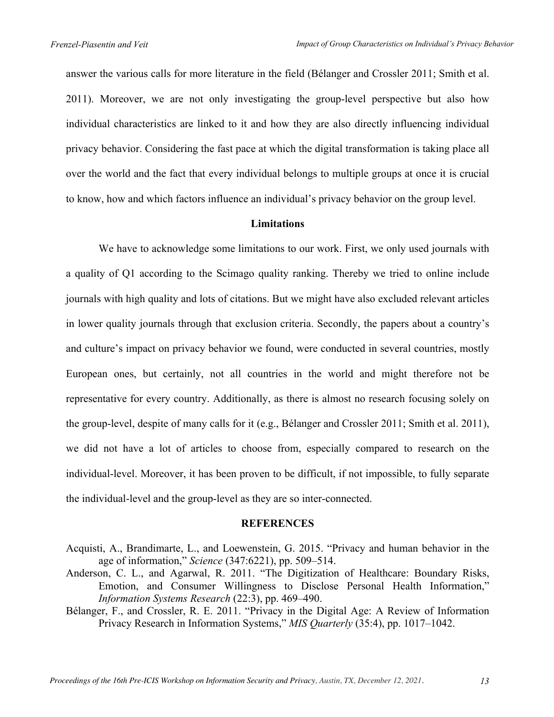answer the various calls for more literature in the field (Bélanger and Crossler 2011; Smith et al. 2011). Moreover, we are not only investigating the group-level perspective but also how individual characteristics are linked to it and how they are also directly influencing individual privacy behavior. Considering the fast pace at which the digital transformation is taking place all over the world and the fact that every individual belongs to multiple groups at once it is crucial to know, how and which factors influence an individual's privacy behavior on the group level.

#### **Limitations**

We have to acknowledge some limitations to our work. First, we only used journals with a quality of Q1 according to the Scimago quality ranking. Thereby we tried to online include journals with high quality and lots of citations. But we might have also excluded relevant articles in lower quality journals through that exclusion criteria. Secondly, the papers about a country's and culture's impact on privacy behavior we found, were conducted in several countries, mostly European ones, but certainly, not all countries in the world and might therefore not be representative for every country. Additionally, as there is almost no research focusing solely on the group-level, despite of many calls for it (e.g., Bélanger and Crossler 2011; Smith et al. 2011), we did not have a lot of articles to choose from, especially compared to research on the individual-level. Moreover, it has been proven to be difficult, if not impossible, to fully separate the individual-level and the group-level as they are so inter-connected.

#### **REFERENCES**

- Acquisti, A., Brandimarte, L., and Loewenstein, G. 2015. "Privacy and human behavior in the age of information," *Science* (347:6221), pp. 509–514.
- Anderson, C. L., and Agarwal, R. 2011. "The Digitization of Healthcare: Boundary Risks, Emotion, and Consumer Willingness to Disclose Personal Health Information," *Information Systems Research* (22:3), pp. 469–490.
- Bélanger, F., and Crossler, R. E. 2011. "Privacy in the Digital Age: A Review of Information Privacy Research in Information Systems," *MIS Quarterly* (35:4), pp. 1017–1042.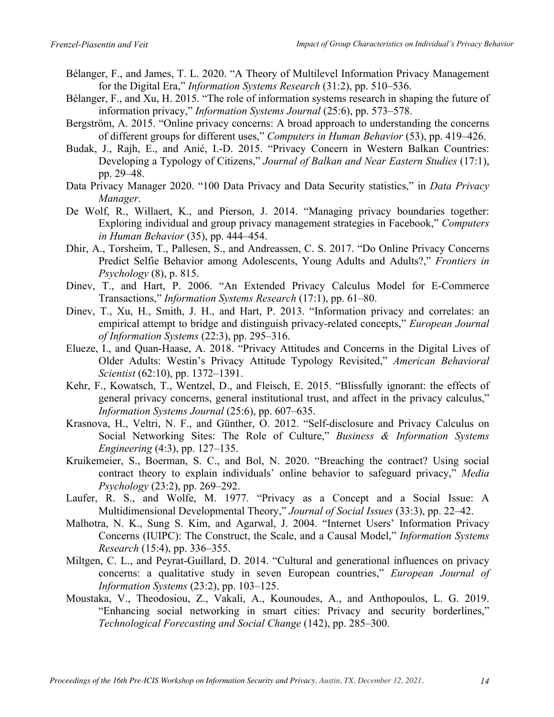- Bélanger, F., and James, T. L. 2020. "A Theory of Multilevel Information Privacy Management for the Digital Era," *Information Systems Research* (31:2), pp. 510–536.
- Bélanger, F., and Xu, H. 2015. "The role of information systems research in shaping the future of information privacy," *Information Systems Journal* (25:6), pp. 573–578.
- Bergström, A. 2015. "Online privacy concerns: A broad approach to understanding the concerns of different groups for different uses," *Computers in Human Behavior* (53), pp. 419–426.
- Budak, J., Rajh, E., and Anić, I.-D. 2015. "Privacy Concern in Western Balkan Countries: Developing a Typology of Citizens," *Journal of Balkan and Near Eastern Studies* (17:1), pp. 29–48.
- Data Privacy Manager 2020. "100 Data Privacy and Data Security statistics," in *Data Privacy Manager*.
- De Wolf, R., Willaert, K., and Pierson, J. 2014. "Managing privacy boundaries together: Exploring individual and group privacy management strategies in Facebook," *Computers in Human Behavior* (35), pp. 444–454.
- Dhir, A., Torsheim, T., Pallesen, S., and Andreassen, C. S. 2017. "Do Online Privacy Concerns Predict Selfie Behavior among Adolescents, Young Adults and Adults?," *Frontiers in Psychology* (8), p. 815.
- Dinev, T., and Hart, P. 2006. "An Extended Privacy Calculus Model for E-Commerce Transactions," *Information Systems Research* (17:1), pp. 61–80.
- Dinev, T., Xu, H., Smith, J. H., and Hart, P. 2013. "Information privacy and correlates: an empirical attempt to bridge and distinguish privacy-related concepts," *European Journal of Information Systems* (22:3), pp. 295–316.
- Elueze, I., and Quan-Haase, A. 2018. "Privacy Attitudes and Concerns in the Digital Lives of Older Adults: Westin's Privacy Attitude Typology Revisited," *American Behavioral Scientist* (62:10), pp. 1372–1391.
- Kehr, F., Kowatsch, T., Wentzel, D., and Fleisch, E. 2015. "Blissfully ignorant: the effects of general privacy concerns, general institutional trust, and affect in the privacy calculus," *Information Systems Journal* (25:6), pp. 607–635.
- Krasnova, H., Veltri, N. F., and Günther, O. 2012. "Self-disclosure and Privacy Calculus on Social Networking Sites: The Role of Culture," *Business & Information Systems Engineering* (4:3), pp. 127–135.
- Kruikemeier, S., Boerman, S. C., and Bol, N. 2020. "Breaching the contract? Using social contract theory to explain individuals' online behavior to safeguard privacy," *Media Psychology* (23:2), pp. 269–292.
- Laufer, R. S., and Wolfe, M. 1977. "Privacy as a Concept and a Social Issue: A Multidimensional Developmental Theory," *Journal of Social Issues* (33:3), pp. 22–42.
- Malhotra, N. K., Sung S. Kim, and Agarwal, J. 2004. "Internet Users' Information Privacy Concerns (IUIPC): The Construct, the Scale, and a Causal Model," *Information Systems Research* (15:4), pp. 336–355.
- Miltgen, C. L., and Peyrat-Guillard, D. 2014. "Cultural and generational influences on privacy concerns: a qualitative study in seven European countries," *European Journal of Information Systems* (23:2), pp. 103–125.
- Moustaka, V., Theodosiou, Z., Vakali, A., Kounoudes, A., and Anthopoulos, L. G. 2019. "Εnhancing social networking in smart cities: Privacy and security borderlines," *Technological Forecasting and Social Change* (142), pp. 285–300.